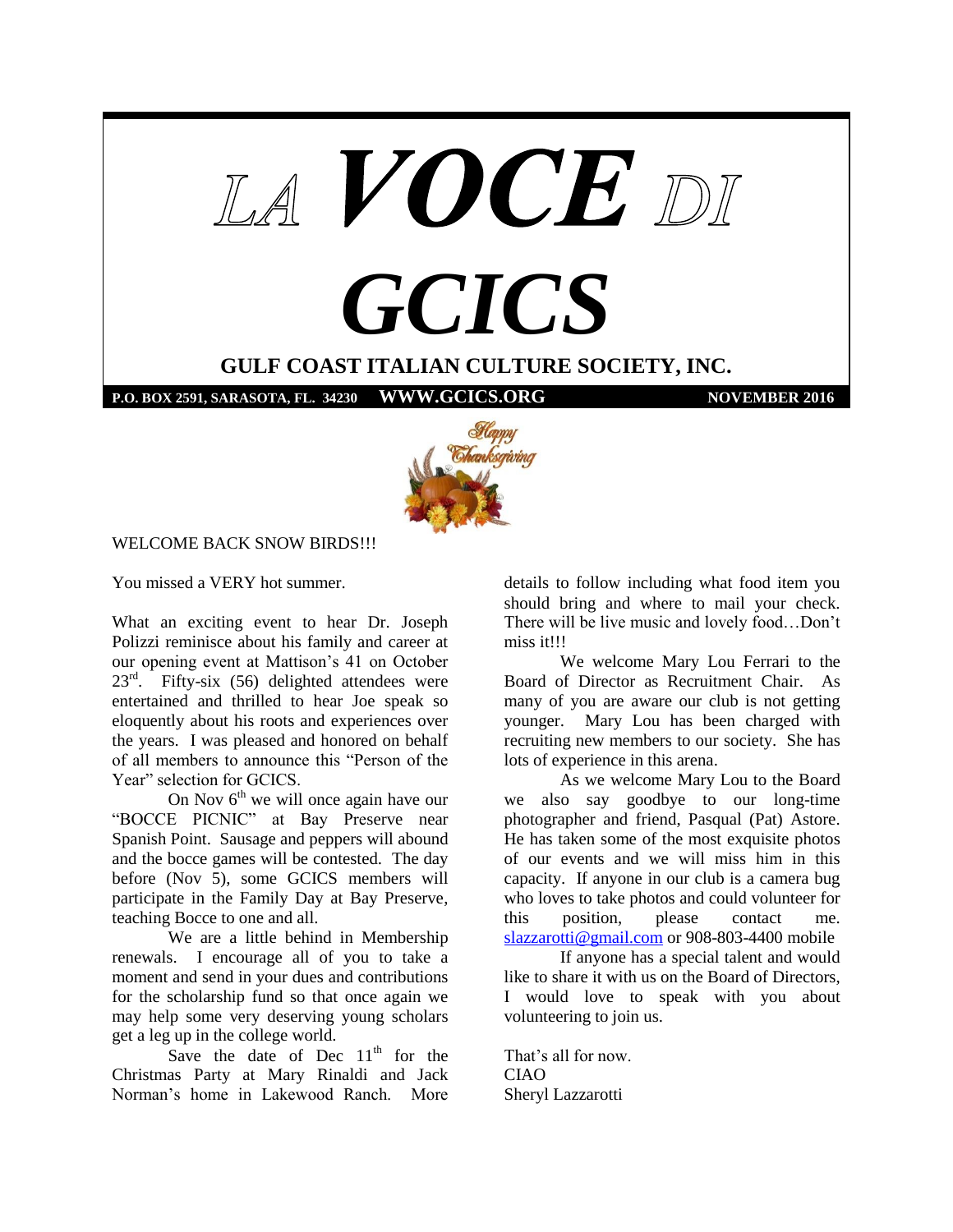



## WELCOME BACK SNOW BIRDS!!!

You missed a VERY hot summer.

What an exciting event to hear Dr. Joseph Polizzi reminisce about his family and career at our opening event at Mattison's 41 on October  $23<sup>rd</sup>$ . Fifty-six (56) delighted attendees were entertained and thrilled to hear Joe speak so eloquently about his roots and experiences over the years. I was pleased and honored on behalf of all members to announce this "Person of the Year" selection for GCICS.

On Nov  $6<sup>th</sup>$  we will once again have our "BOCCE PICNIC" at Bay Preserve near Spanish Point. Sausage and peppers will abound and the bocce games will be contested. The day before (Nov 5), some GCICS members will participate in the Family Day at Bay Preserve, teaching Bocce to one and all.

We are a little behind in Membership renewals. I encourage all of you to take a moment and send in your dues and contributions for the scholarship fund so that once again we may help some very deserving young scholars get a leg up in the college world.

Save the date of Dec  $11<sup>th</sup>$  for the Christmas Party at Mary Rinaldi and Jack Norman's home in Lakewood Ranch. More

details to follow including what food item you should bring and where to mail your check. There will be live music and lovely food…Don't miss it!!!

We welcome Mary Lou Ferrari to the Board of Director as Recruitment Chair. As many of you are aware our club is not getting younger. Mary Lou has been charged with recruiting new members to our society. She has lots of experience in this arena.

As we welcome Mary Lou to the Board we also say goodbye to our long-time photographer and friend, Pasqual (Pat) Astore. He has taken some of the most exquisite photos of our events and we will miss him in this capacity. If anyone in our club is a camera bug who loves to take photos and could volunteer for this position, please contact me. [slazzarotti@gmail.com](mailto:slazzarotti@gmail.com) or 908-803-4400 mobile

If anyone has a special talent and would like to share it with us on the Board of Directors, I would love to speak with you about volunteering to join us.

That's all for now. CIAO Sheryl Lazzarotti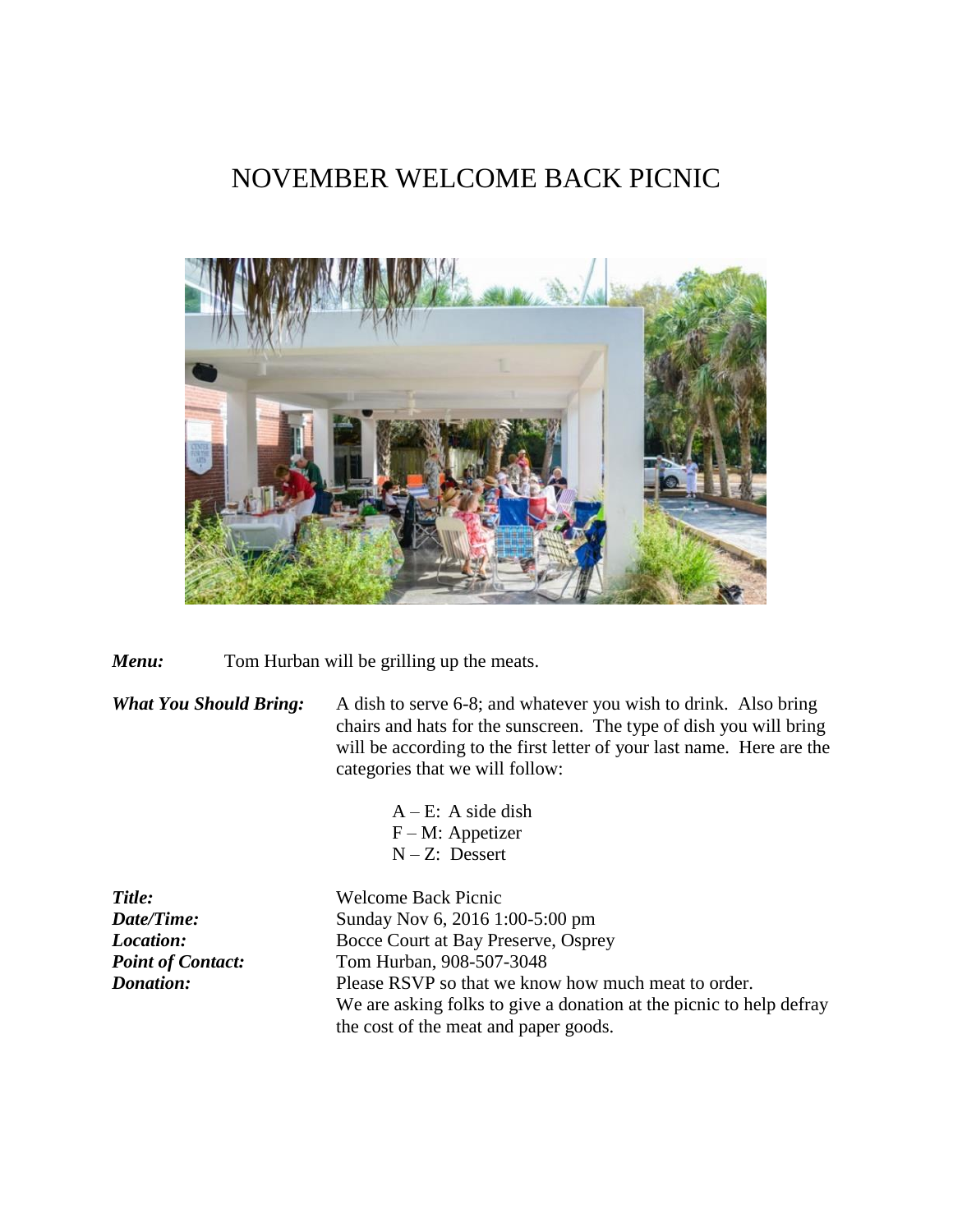# NOVEMBER WELCOME BACK PICNIC



*Menu*: Tom Hurban will be grilling up the meats.

*What You Should Bring:* A dish to serve 6-8; and whatever you wish to drink. Also bring chairs and hats for the sunscreen. The type of dish you will bring will be according to the first letter of your last name. Here are the categories that we will follow:

> $A - E$ : A side dish F – M: Appetizer N – Z: Dessert

*Title:* Welcome Back Picnic *Date/Time:* Sunday Nov 6, 2016 1:00-5:00 pm *Location:* Bocce Court at Bay Preserve, Osprey Point of Contact: Tom Hurban, 908-507-3048 *Donation:* Please RSVP so that we know how much meat to order. We are asking folks to give a donation at the picnic to help defray the cost of the meat and paper goods.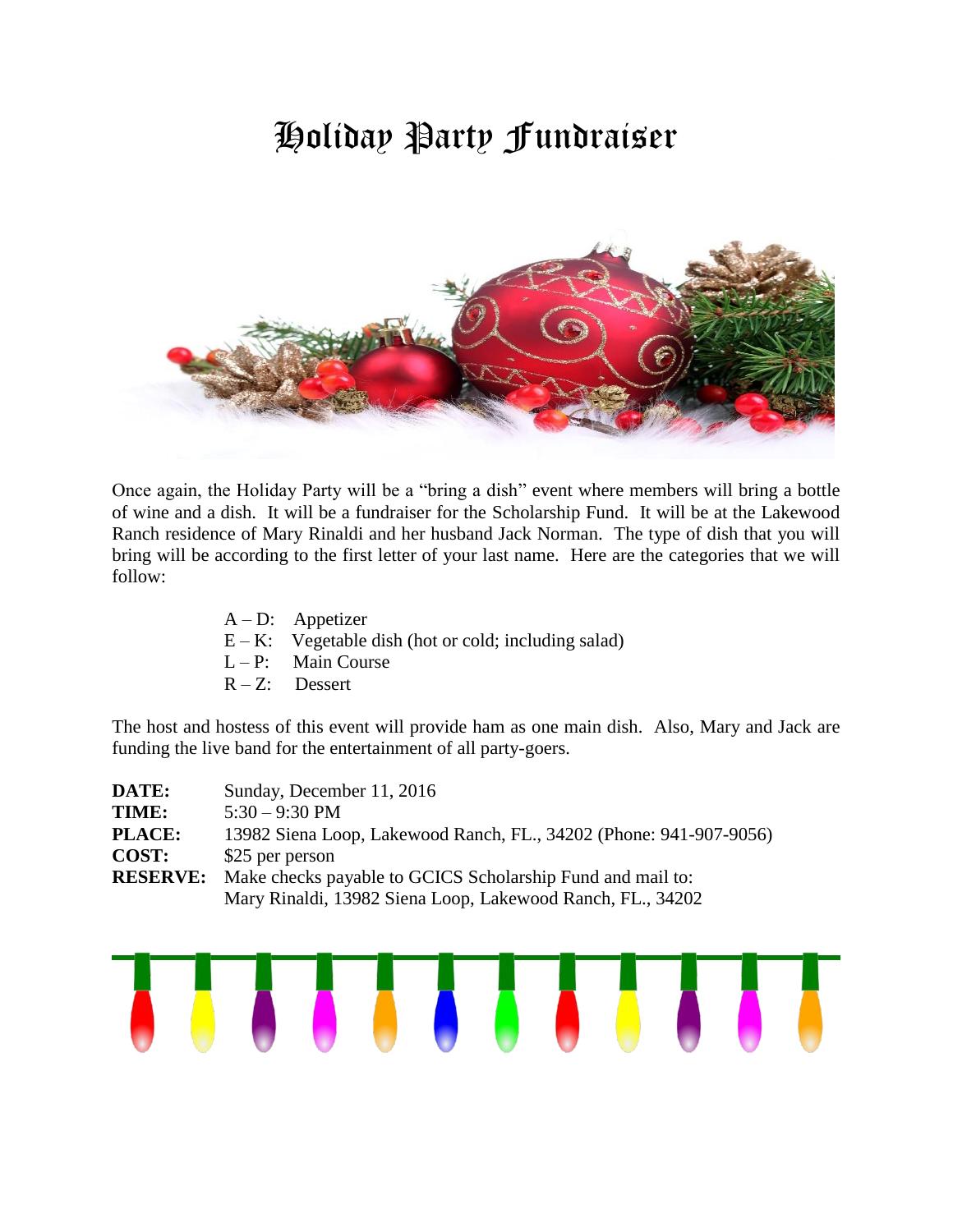# Holiday Party Fundraiser



Once again, the Holiday Party will be a "bring a dish" event where members will bring a bottle of wine and a dish. It will be a fundraiser for the Scholarship Fund. It will be at the Lakewood Ranch residence of Mary Rinaldi and her husband Jack Norman. The type of dish that you will bring will be according to the first letter of your last name. Here are the categories that we will follow:

- A D: Appetizer
- $E K$ : Vegetable dish (hot or cold; including salad)
- $L P$ : Main Course
- $R Z$ : Dessert

The host and hostess of this event will provide ham as one main dish. Also, Mary and Jack are funding the live band for the entertainment of all party-goers.

| DATE:           | Sunday, December 11, 2016                                          |  |  |
|-----------------|--------------------------------------------------------------------|--|--|
| TIME:           | $5:30 - 9:30$ PM                                                   |  |  |
| <b>PLACE:</b>   | 13982 Siena Loop, Lakewood Ranch, FL., 34202 (Phone: 941-907-9056) |  |  |
| <b>COST:</b>    | \$25 per person                                                    |  |  |
| <b>RESERVE:</b> | Make checks payable to GCICS Scholarship Fund and mail to:         |  |  |
|                 | Mary Rinaldi, 13982 Siena Loop, Lakewood Ranch, FL., 34202         |  |  |

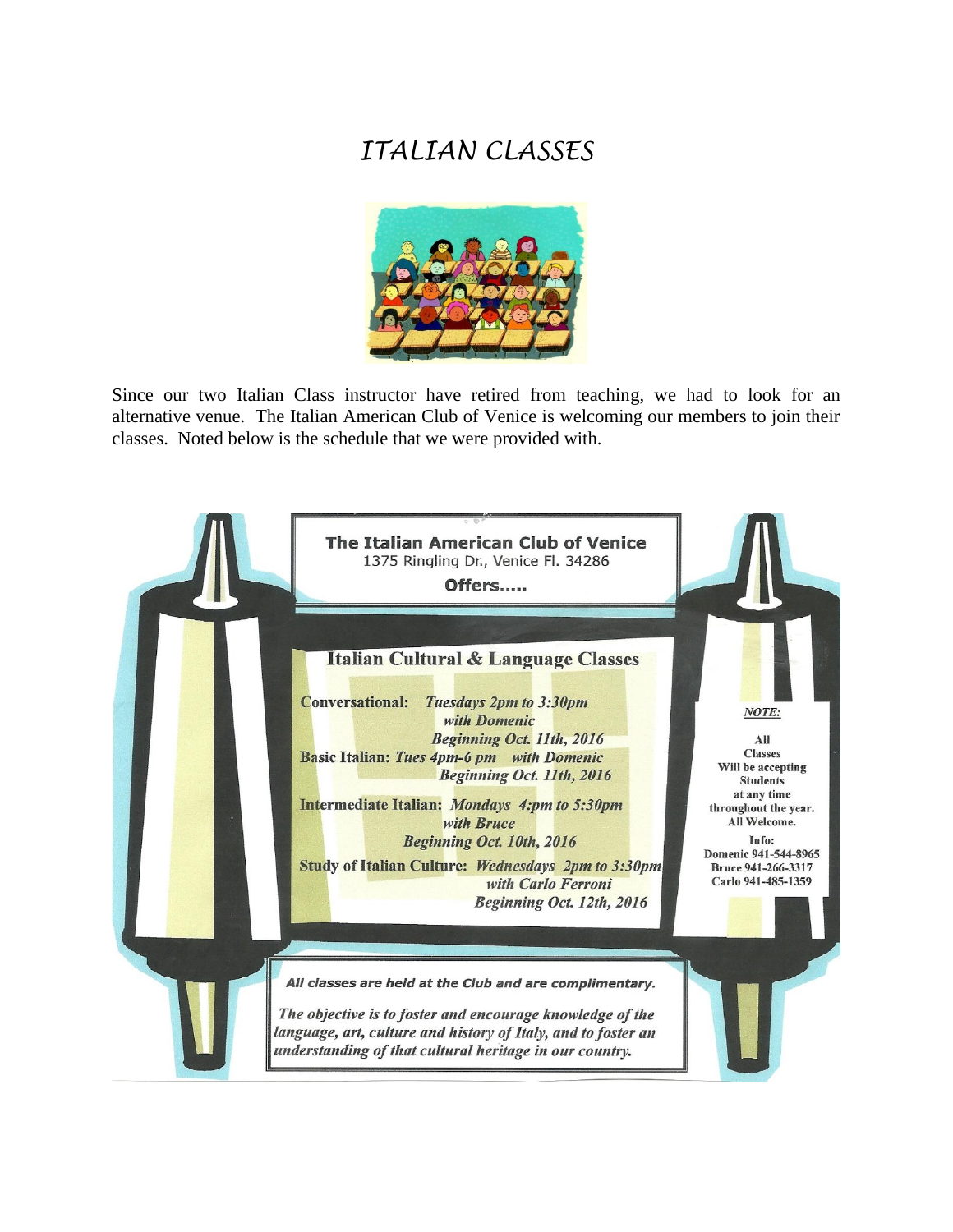# *ITALIAN CLASSES*



Since our two Italian Class instructor have retired from teaching, we had to look for an alternative venue. The Italian American Club of Venice is welcoming our members to join their classes. Noted below is the schedule that we were provided with.

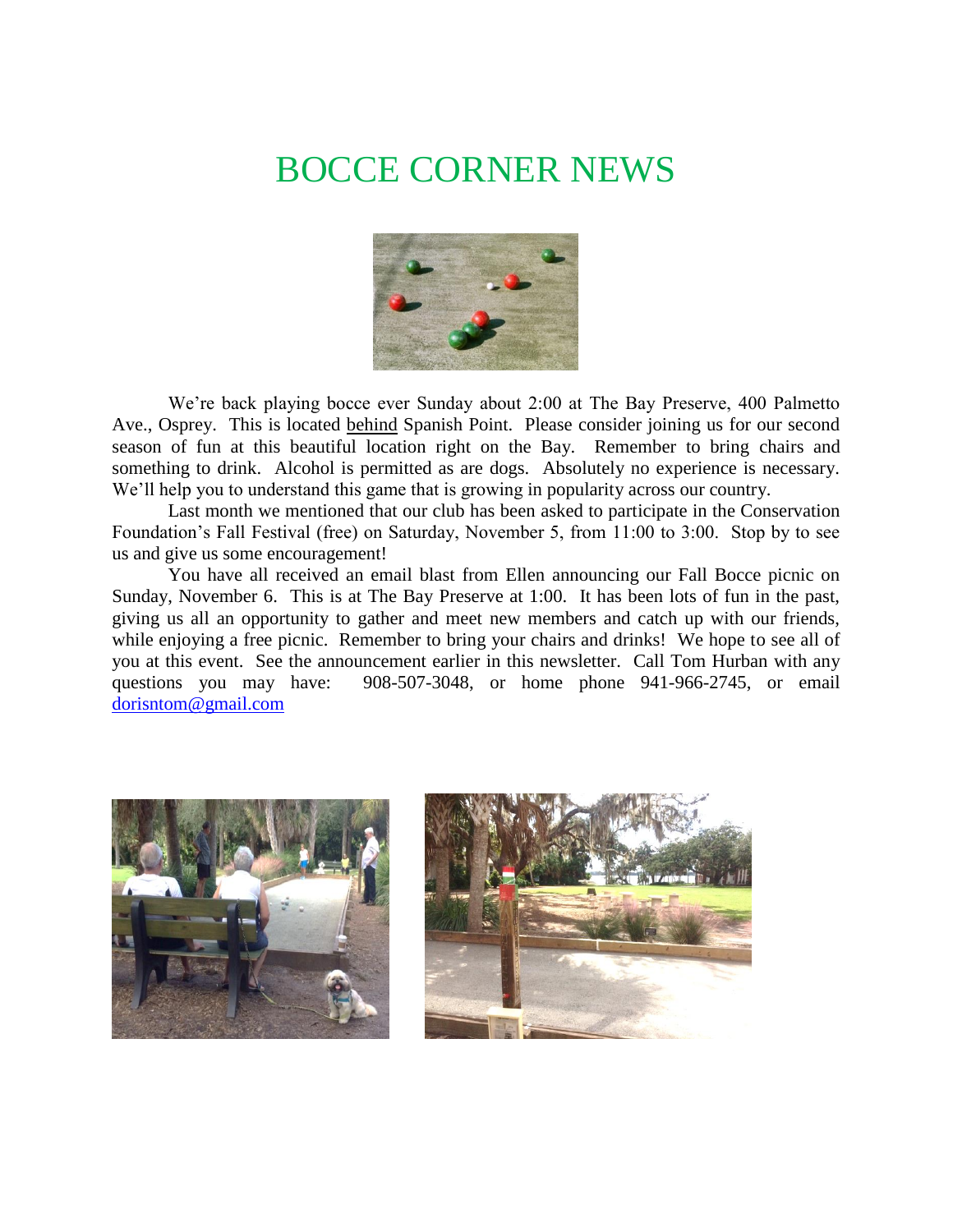# BOCCE CORNER NEWS



We're back playing bocce ever Sunday about 2:00 at The Bay Preserve, 400 Palmetto Ave., Osprey. This is located behind Spanish Point. Please consider joining us for our second season of fun at this beautiful location right on the Bay. Remember to bring chairs and something to drink. Alcohol is permitted as are dogs. Absolutely no experience is necessary. We'll help you to understand this game that is growing in popularity across our country.

Last month we mentioned that our club has been asked to participate in the Conservation Foundation's Fall Festival (free) on Saturday, November 5, from 11:00 to 3:00. Stop by to see us and give us some encouragement!

You have all received an email blast from Ellen announcing our Fall Bocce picnic on Sunday, November 6. This is at The Bay Preserve at 1:00. It has been lots of fun in the past, giving us all an opportunity to gather and meet new members and catch up with our friends, while enjoying a free picnic. Remember to bring your chairs and drinks! We hope to see all of you at this event. See the announcement earlier in this newsletter. Call Tom Hurban with any questions you may have: 908-507-3048, or home phone 941-966-2745, or email [dorisntom@gmail.com](mailto:dorisntom@gmail.com)